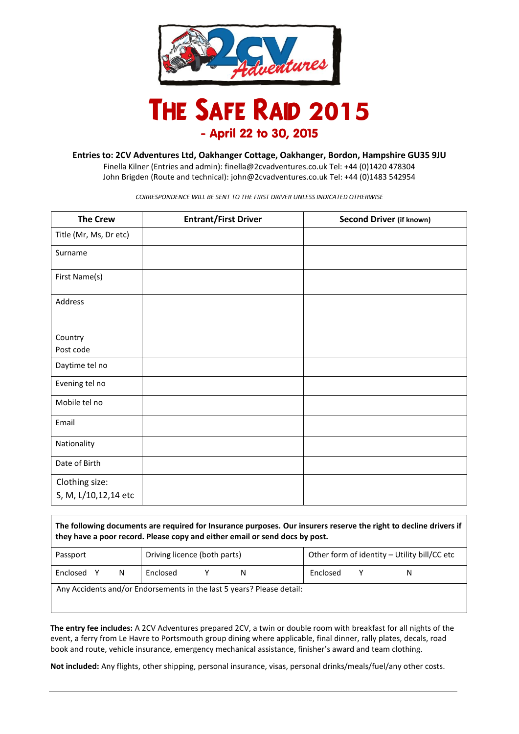

## **The Safe Raid 2015** - April 22 to 30, 2015

**Entries to: 2CV Adventures Ltd, Oakhanger Cottage, Oakhanger, Bordon, Hampshire GU35 9JU**

Finella Kilner (Entries and admin): [finella@2cvadventures.co.uk](mailto:finella@2cvadventures.co.uk) Tel: +44 (0)1420 478304 John Brigden (Route and technical): [john@2cvadventures.co.uk](mailto:john@2cvadventures.co.uk) Tel: +44 (0)1483 542954

*CORRESPONDENCE WILL BE SENT TO THE FIRST DRIVER UNLESS INDICATED OTHERWISE*

| <b>The Crew</b>        | <b>Entrant/First Driver</b> | Second Driver (if known) |
|------------------------|-----------------------------|--------------------------|
| Title (Mr, Ms, Dr etc) |                             |                          |
| Surname                |                             |                          |
| First Name(s)          |                             |                          |
| Address                |                             |                          |
|                        |                             |                          |
| Country                |                             |                          |
| Post code              |                             |                          |
| Daytime tel no         |                             |                          |
| Evening tel no         |                             |                          |
| Mobile tel no          |                             |                          |
| Email                  |                             |                          |
| Nationality            |                             |                          |
| Date of Birth          |                             |                          |
| Clothing size:         |                             |                          |
| S, M, L/10,12,14 etc   |                             |                          |

**The following documents are required for Insurance purposes. Our insurers reserve the right to decline drivers if they have a poor record. Please copy and either email or send docs by post.**

| Passport | Driving licence (both parts) | Other form of identity - Utility bill/CC etc |
|----------|------------------------------|----------------------------------------------|
| Ν        | Enclosed                     | Enclosed                                     |
| Enclosed | N                            | N                                            |

Any Accidents and/or Endorsements in the last 5 years? Please detail:

**The entry fee includes:** A 2CV Adventures prepared 2CV, a twin or double room with breakfast for all nights of the event, a ferry from Le Havre to Portsmouth group dining where applicable, final dinner, rally plates, decals, road book and route, vehicle insurance, emergency mechanical assistance, finisher's award and team clothing.

**Not included:** Any flights, other shipping, personal insurance, visas, personal drinks/meals/fuel/any other costs.